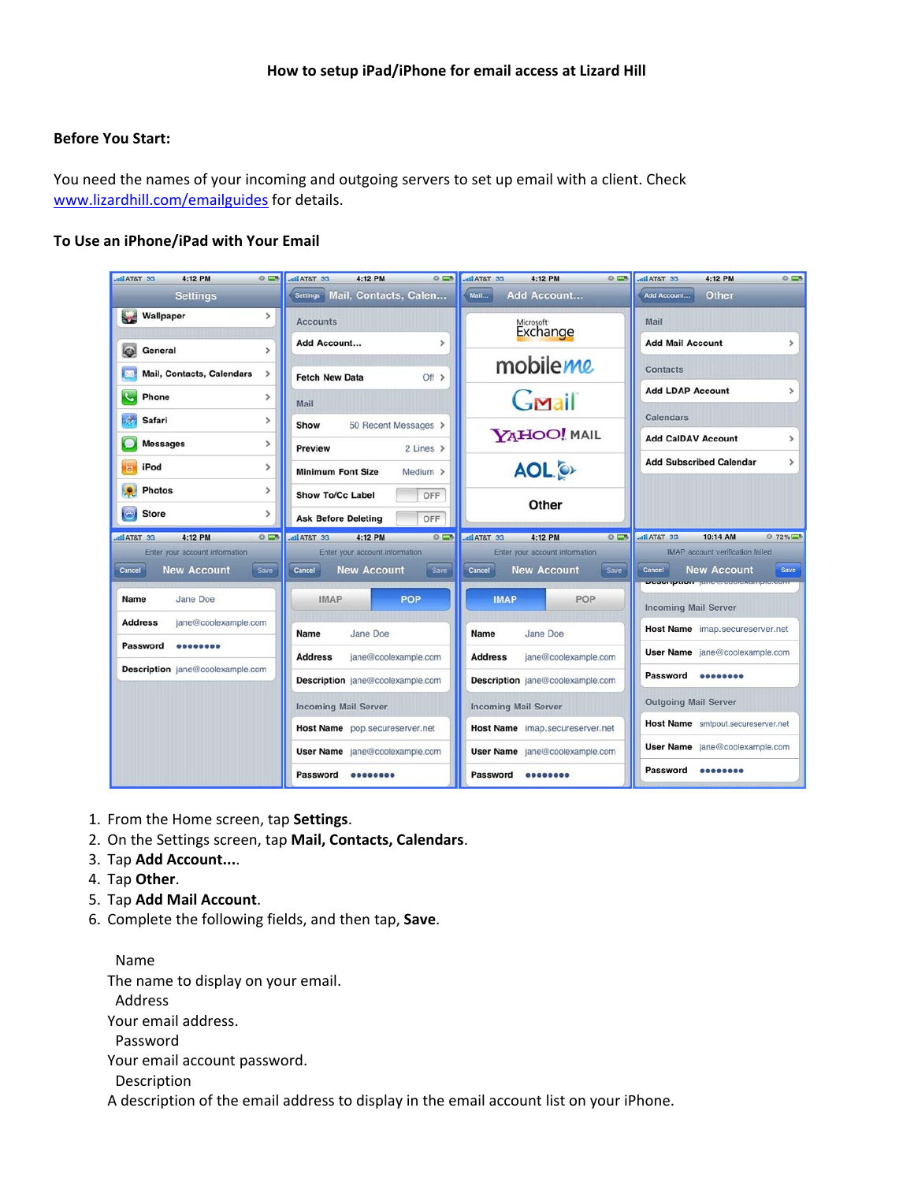## **Before You Start:**

You need the names of your incoming and outgoing servers to set up email with a client. Check www.lizardhill.com/emailguides for details.

## **To Use an iPhone/iPad with Your Email**

| atl AT&T 3G<br>4:12 PM<br>$0 =$                                        | all AT&T 3G<br>4:12 PM<br>$0 = 3$                                                | <b>DE TATA liu</b><br>4:12 PM<br>$0 =$                                        | $0 = 0$<br>DE T&TA lla<br>4:12 PM                                                                                      |
|------------------------------------------------------------------------|----------------------------------------------------------------------------------|-------------------------------------------------------------------------------|------------------------------------------------------------------------------------------------------------------------|
| <b>Settings</b>                                                        | Settings Mail, Contacts, Calen                                                   | Add Account<br>$M$ ail                                                        | Other<br>Add Account                                                                                                   |
| Wallpaper<br>$\rightarrow$                                             | <b>Accounts</b>                                                                  | Microsoft <sup>+</sup><br>Exchange                                            | Mail                                                                                                                   |
| General<br>$\mathcal{P}$                                               | Add Account<br>>                                                                 |                                                                               | <b>Add Mail Account</b><br>$\rightarrow$                                                                               |
| <b>Mail, Contacts, Calendars</b><br>$\rightarrow$                      | $Off$ $>$<br><b>Fetch New Data</b>                                               | mobileme                                                                      | <b>Contacts</b>                                                                                                        |
| Phone<br>$\mathcal{P}$                                                 | Mail                                                                             | Gmail                                                                         | <b>Add LDAP Account</b><br>>                                                                                           |
| Safari<br>$\mathcal{P}$<br><b>Messages</b><br>>                        | 50 Recent Messages ><br>Show                                                     | <b>YAHOO! MAIL</b>                                                            | <b>Calendars</b><br><b>Add CalDAV Account</b><br>$\mathcal{P}$                                                         |
| iPod<br>><br>b                                                         | $2$ Lines $\geq$<br>Preview<br><b>Minimum Font Size</b><br>Medium >              | <b>AOL</b>                                                                    | <b>Add Subscribed Calendar</b><br>>                                                                                    |
| <b>Photos</b><br>>                                                     | OFF<br><b>Show To/Cc Label</b>                                                   | Other                                                                         |                                                                                                                        |
| <b>Store</b><br>↔<br>$\rightarrow$                                     | OFF<br><b>Ask Before Deleting</b>                                                |                                                                               |                                                                                                                        |
| 4:12 PM<br>$0 =$<br>atl AT&T 3G                                        | 4:12 PM<br>DE TATA lin.<br>$0 =$                                                 | 4:12 PM<br>atl AT&T 3G<br>$0 =$                                               | 10:14 AM<br><b>DE T&amp;TA III.</b><br>$272\%$                                                                         |
| Enter your account information<br><b>New Account</b><br>Save<br>Cancel | Enter your account information<br><b>New Account</b><br>Save<br>Cancel           | Enter your account information<br><b>New Account</b><br>Save<br><b>Cancel</b> | <b>IMAP</b> account verification failed<br><b>New Account</b><br>Save<br>Cancel<br><b>Posemption</b> fance coolexample |
| Jane Doe<br>Name                                                       | POP<br><b>IMAP</b>                                                               | POP<br><b>IMAP</b>                                                            | <b>Incoming Mail Server</b>                                                                                            |
| <b>Address</b><br>jane@coolexample.com                                 | Jane Doe<br>Name                                                                 | Name<br>Jane Doe                                                              | Host Name imap.secureserver.net                                                                                        |
| Password<br>00000000                                                   | <b>Address</b><br>jane@coolexample.com<br><b>Address</b><br>jane@coolexample.com |                                                                               | User Name jane@coolexample.com                                                                                         |
| Description jane@coolexample.com                                       |                                                                                  |                                                                               | Password<br><b>88888888</b>                                                                                            |
| Description jane@coolexample.com<br>Description jane@coolexample.com   |                                                                                  |                                                                               |                                                                                                                        |
|                                                                        | <b>Incoming Mail Server</b><br><b>Incoming Mail Server</b>                       |                                                                               | <b>Outgoing Mail Server</b>                                                                                            |
|                                                                        | Host Name pop.secureserver.net<br>Host Name imap.secureserver.net                |                                                                               | Host Name smtpout.secureserver.net                                                                                     |
|                                                                        | User Name jane@coolexample.com<br>User Name jane@coolexample.com                 |                                                                               | User Name jane@coolexample.com                                                                                         |
|                                                                        | Password                                                                         | Password                                                                      | Password                                                                                                               |

- 1. From the Home screen, tap **Settings**.
- 2. On the Settings screen, tap **Mail, Contacts, Calendars**.
- 3. Tap **Add Account...**.
- 4. Tap **Other**.
- 5. Tap **Add Mail Account**.
- 6. Complete the following fields, and then tap, **Save**.

Name The name to display on your email. Address

Your email address.

Password

Your email account password.

Description

A description of the email address to display in the email account list on your iPhone.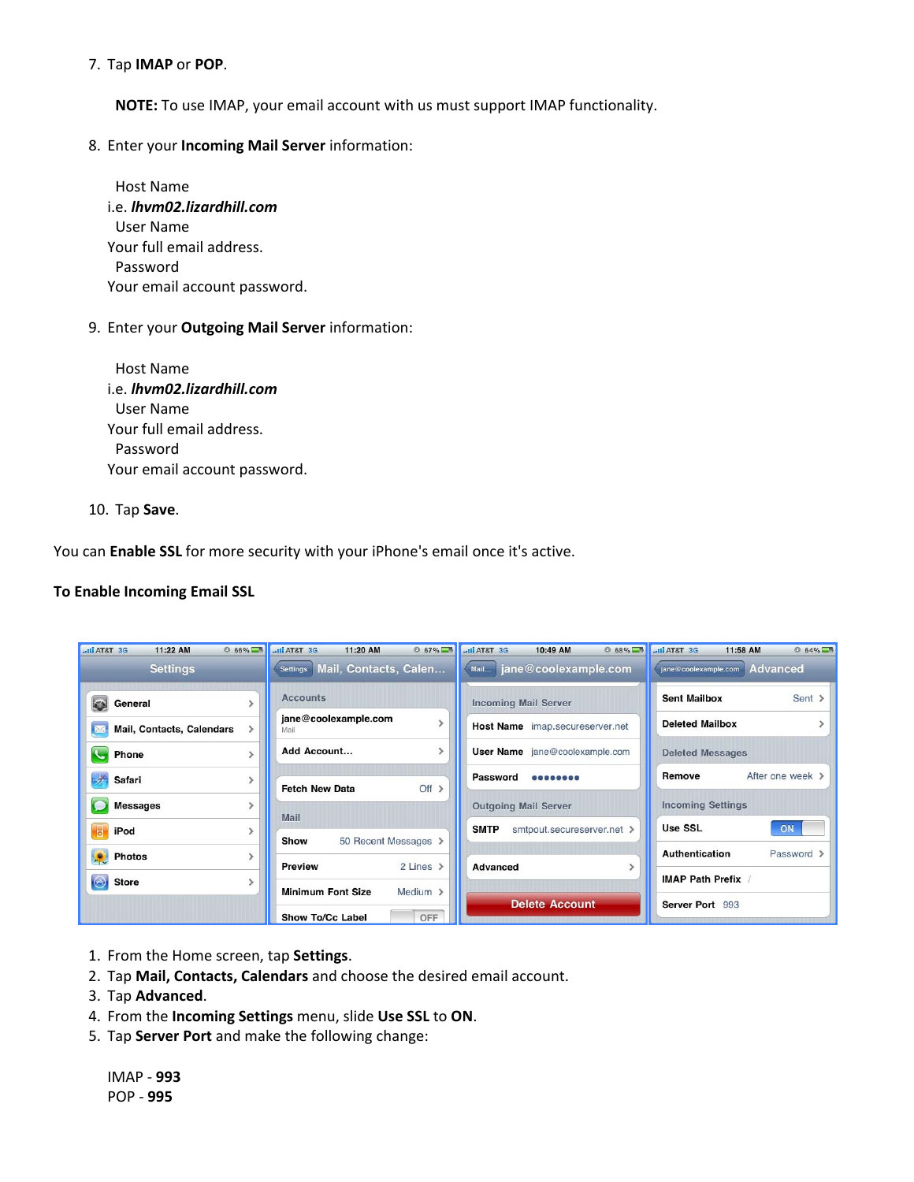## 7. Tap **IMAP** or **POP**.

**NOTE:** To use IMAP, your email account with us must support IMAP functionality.

8. Enter your **Incoming Mail Server** information:

Host Name i.e. *lhvm02.lizardhill.com* User Name Your full email address. Password Your email account password.

9. Enter your **Outgoing Mail Server** information:

Host Name i.e. *lhvm02.lizardhill.com* User Name Your full email address. Password Your email account password.

10. Tap **Save**.

You can **Enable SSL** for more security with your iPhone's email once it's active.

## **To Enable Incoming Email SSL**

| <b>DE T&amp;TA line</b><br>$0.66\sqrt{2}$<br>11:22 AM | $0.67\%$<br>Ill AT&T 3G<br>11:20 AM      | .ull AT&T 3G<br>$0.68\%$<br>10:49 AM      | .ull AT&T 3G<br>$ 64\%$<br>11:58 AM     |
|-------------------------------------------------------|------------------------------------------|-------------------------------------------|-----------------------------------------|
| <b>Settings</b>                                       | Mail, Contacts, Calen<br><b>Settings</b> | jane@coolexample.com<br>Mail              | <b>Advanced</b><br>jane@coolexample.com |
| <b>KAN</b><br>General                                 | <b>Accounts</b>                          | <b>Incoming Mail Server</b>               | Sent ><br><b>Sent Mailbox</b>           |
| Mail, Contacts, Calendars                             | jane@coolexample.com<br>Mail             | Host Name imap.secureserver.net           | <b>Deleted Mailbox</b>                  |
| Phone                                                 | Add Account                              | <b>User Name</b> jane@coolexample.com     | <b>Deleted Messages</b>                 |
| Safari                                                | Off ><br><b>Fetch New Data</b>           | Password<br>                              | After one week ><br>Remove              |
| <b>Messages</b>                                       | Mail                                     | <b>Outgoing Mail Server</b>               | <b>Incoming Settings</b>                |
| $\overline{\mathbf{5}}$<br>iPod                       | 50 Recent Messages ><br>Show             | <b>SMTP</b><br>smtpout.secureserver.net > | <b>Use SSL</b><br>ON                    |
| $\cdot$<br><b>Photos</b>                              | 2 Lines ><br><b>Preview</b>              | Advanced                                  | <b>Authentication</b><br>Password >     |
| $\bigodot$<br><b>Store</b>                            | <b>Minimum Font Size</b><br>Medium >     |                                           | <b>IMAP Path Prefix</b>                 |
|                                                       | OFF<br><b>Show To/Cc Label</b>           | <b>Delete Account</b>                     | Server Port 993                         |

- 1. From the Home screen, tap **Settings**.
- 2. Tap **Mail, Contacts, Calendars** and choose the desired email account.
- 3. Tap **Advanced**.
- 4. From the **Incoming Settings** menu, slide **Use SSL** to **ON**.
- 5. Tap **Server Port** and make the following change:

IMAP ‐ **993** POP ‐ **995**